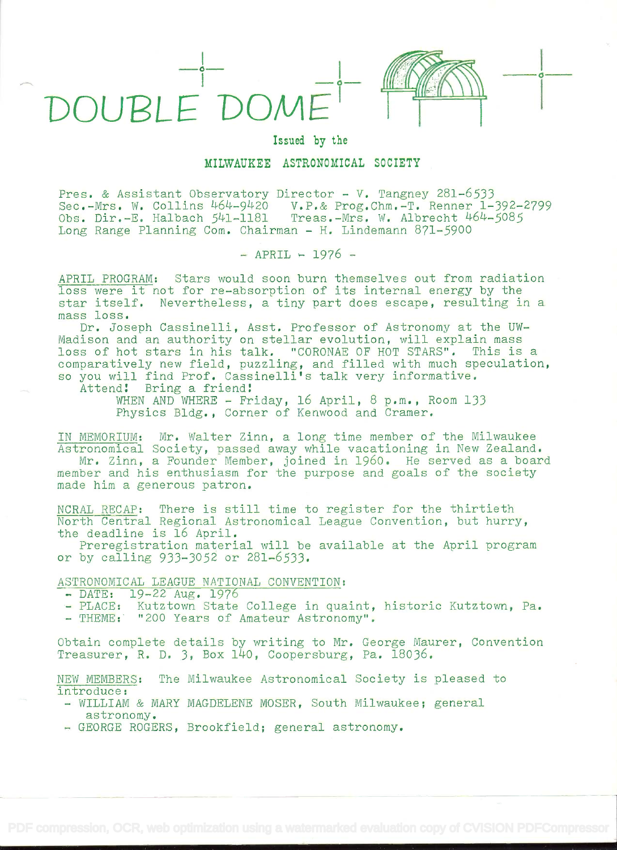



## Issued by the

## MILWAUKEE ASTRONOMICAL SOCIETY

Pres. & Assistant Observatory Director - V. Tangney 281-6533 Sec.-Mrs. W. Collins 464-9420 V.P.& Prog.Chm.-T. Renner 1-392-2799 Obs. Dir.-E. Halbach 541-1181 Treas.-Mrs. W. Albrecht 464-5085 Long Range Planning Com. Chairman - H. Lindemann 871-5900

 $-$  APRIL  $-$  1976  $-$ 

APRIL PROGRAM: Stars would soon burn themselves out from radiation loss were it not for re-absorption of its internal energy by the star itself. Nevertheless, a tiny part does escape, resulting in a mass loss.

Dr. Joseph Cassinelli, Asst. Professor of Astronomy at the UW-Madison and an authority on stellar evolution, will explain mass<br>loss of hot stars in his talk. "CORONAE OF HOT STARS". This is a comparatively new field, puzzling, and filled with much speculation, so you will find Prof. Cassinelli's talk very informative.

Attend! Bring a friend!

WHEN AND WHERE - Friday, 16 April, 8 p.m., Room 133 Physics Bldg. , Corner of Kenwood and Cramer.

IN MEMORIUM: Mr. Walter Zinn, a long time member of the Milwaukee Astronomical Society, passed away while vacationing in New Zealand.

Mr. Zinn, a Founder Member, joined in 1960. He served as a board member and his enthusiasm for the purpose and goals of the society made him a generous patron.

NCRAL RECAP: There is still time to register for the thirtieth North Central Regional Astronomical League Convention, but hurry, the deadline is 16 April.

Preregistration material will be available at the April program or by calling 933-3052 or 281-6533.

# ASTRONOMICAL LEAGUE NATIONAL CONVENTION:<br>- DATE: 19-22 Aug. 1976

- 
- PLACE: Kutztown State College in quaint, historic Kutztown, Pa.
- THEME: "200 Years of Amateur Astronomy".

Obtain complete details by writing to Mr. George Maurer, Convention Treasurer, R. D. 3, Box 140, Coopersburg, Pa. 18036.

NEW MEMBERS: The Milwaukee Astronomical Society is pleased to introduce:

- WILLIAM & MARY MAGDELENE MOSER, South Milwaukee; general astronomy.
- GEORGE ROGERS, Brookfield; general astronomy.